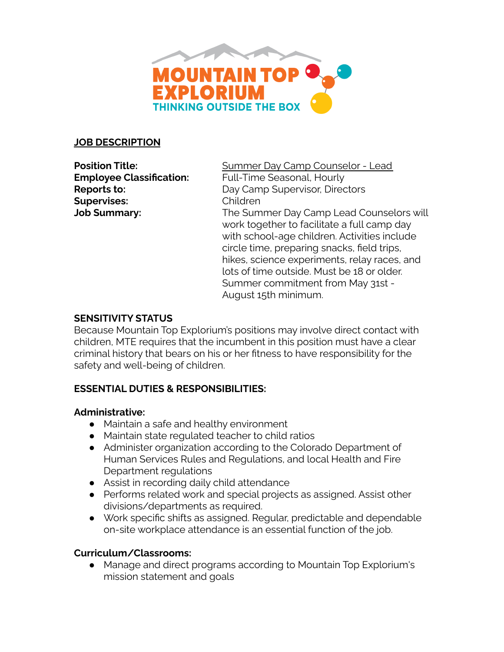

### **JOB DESCRIPTION**

**Supervises:** Children

**Position Title:** Summer Day Camp Counselor - Lead **Employee Classification:** Full-Time Seasonal, Hourly **Reports to:** Day Camp Supervisor, Directors **Job Summary:** The Summer Day Camp Lead Counselors will work together to facilitate a full camp day with school-age children. Activities include circle time, preparing snacks, field trips, hikes, science experiments, relay races, and lots of time outside. Must be 18 or older. Summer commitment from May 31st - August 15th minimum.

### **SENSITIVITY STATUS**

Because Mountain Top Explorium's positions may involve direct contact with children, MTE requires that the incumbent in this position must have a clear criminal history that bears on his or her fitness to have responsibility for the safety and well-being of children.

### **ESSENTIAL DUTIES & RESPONSIBILITIES:**

### **Administrative:**

- Maintain a safe and healthy environment
- Maintain state regulated teacher to child ratios
- Administer organization according to the Colorado Department of Human Services Rules and Regulations, and local Health and Fire Department regulations
- Assist in recording daily child attendance
- Performs related work and special projects as assigned. Assist other divisions/departments as required.
- Work specific shifts as assigned. Regular, predictable and dependable on-site workplace attendance is an essential function of the job.

### **Curriculum/Classrooms:**

● Manage and direct programs according to Mountain Top Explorium's mission statement and goals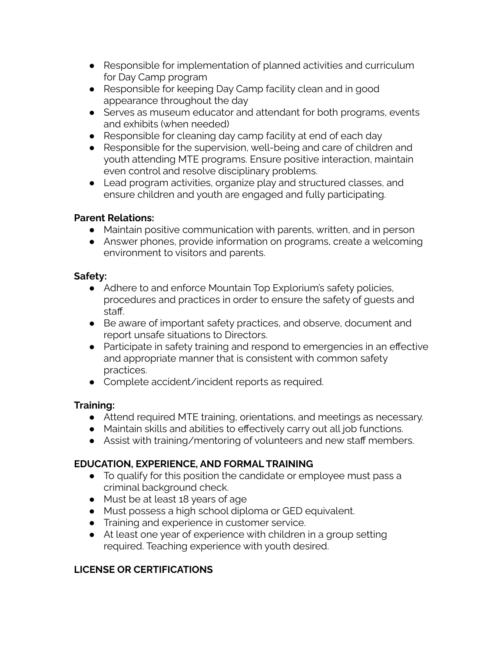- Responsible for implementation of planned activities and curriculum for Day Camp program
- Responsible for keeping Day Camp facility clean and in good appearance throughout the day
- Serves as museum educator and attendant for both programs, events and exhibits (when needed)
- Responsible for cleaning day camp facility at end of each day
- Responsible for the supervision, well-being and care of children and youth attending MTE programs. Ensure positive interaction, maintain even control and resolve disciplinary problems.
- Lead program activities, organize play and structured classes, and ensure children and youth are engaged and fully participating.

## **Parent Relations:**

- Maintain positive communication with parents, written, and in person
- Answer phones, provide information on programs, create a welcoming environment to visitors and parents.

## **Safety:**

- Adhere to and enforce Mountain Top Explorium's safety policies, procedures and practices in order to ensure the safety of guests and staff.
- Be aware of important safety practices, and observe, document and report unsafe situations to Directors.
- Participate in safety training and respond to emergencies in an effective and appropriate manner that is consistent with common safety practices.
- Complete accident/incident reports as required.

# **Training:**

- Attend required MTE training, orientations, and meetings as necessary.
- Maintain skills and abilities to effectively carry out all job functions.
- Assist with training/mentoring of volunteers and new staff members.

# **EDUCATION, EXPERIENCE, AND FORMAL TRAINING**

- To qualify for this position the candidate or employee must pass a criminal background check.
- Must be at least 18 years of age
- Must possess a high school diploma or GED equivalent.
- Training and experience in customer service.
- At least one year of experience with children in a group setting required. Teaching experience with youth desired.

# **LICENSE OR CERTIFICATIONS**